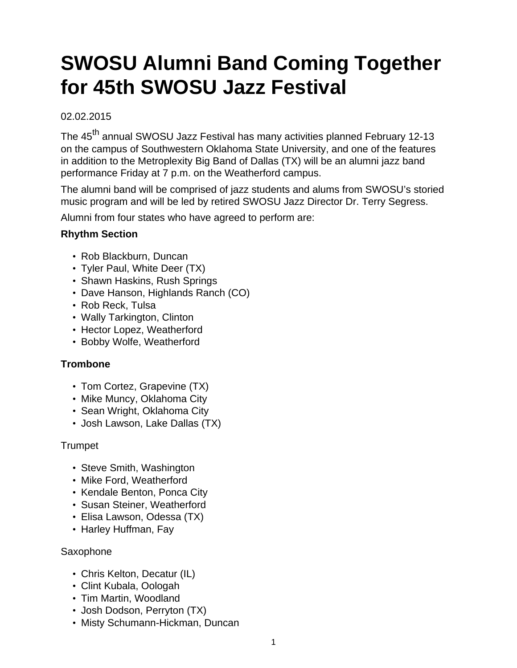# **SWOSU Alumni Band Coming Together for 45th SWOSU Jazz Festival**

#### 02.02.2015

The 45<sup>th</sup> annual SWOSU Jazz Festival has many activities planned February 12-13 on the campus of Southwestern Oklahoma State University, and one of the features in addition to the Metroplexity Big Band of Dallas (TX) will be an alumni jazz band performance Friday at 7 p.m. on the Weatherford campus.

The alumni band will be comprised of jazz students and alums from SWOSU's storied music program and will be led by retired SWOSU Jazz Director Dr. Terry Segress.

Alumni from four states who have agreed to perform are:

## **Rhythm Section**

- Rob Blackburn, Duncan
- Tyler Paul, White Deer (TX)
- Shawn Haskins, Rush Springs
- Dave Hanson, Highlands Ranch (CO)
- Rob Reck, Tulsa
- Wally Tarkington, Clinton
- Hector Lopez, Weatherford
- Bobby Wolfe, Weatherford

## **Trombone**

- Tom Cortez, Grapevine (TX)
- Mike Muncy, Oklahoma City
- Sean Wright, Oklahoma City
- Josh Lawson, Lake Dallas (TX)

## **Trumpet**

- Steve Smith, Washington
- Mike Ford, Weatherford
- Kendale Benton, Ponca City
- Susan Steiner, Weatherford
- Elisa Lawson, Odessa (TX)
- Harley Huffman, Fay

## Saxophone

- Chris Kelton, Decatur (IL)
- Clint Kubala, Oologah
- Tim Martin, Woodland
- Josh Dodson, Perryton (TX)
- Misty Schumann-Hickman, Duncan